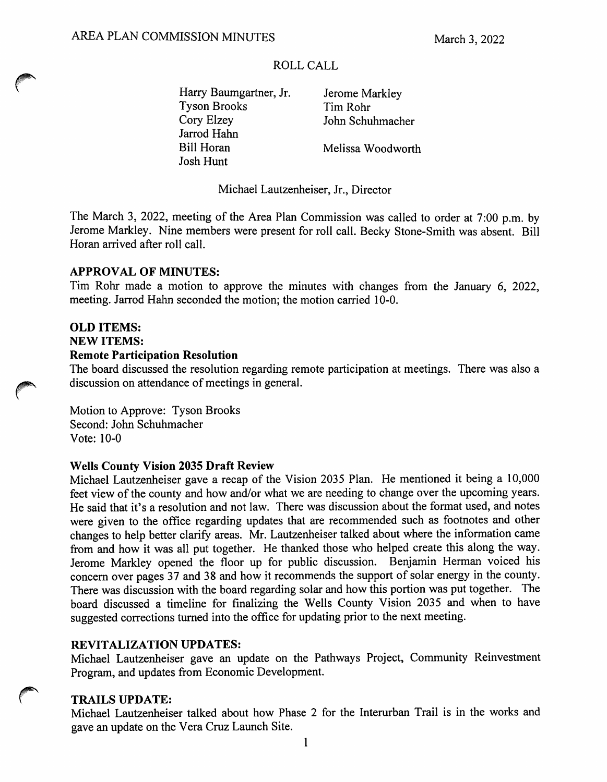# ROLL CALL

Harry Baumgartner, Jr. Jerome Markley Tyson Brooks<br>
Cory Elzey<br>
John Schu Jarrod Hahn Bill Horan Melissa Woodworth Josh Hunt

John Schuhmacher

Michael Lautzenheiser, Jr., Director

The March 3, 2022, meeting of the Area Plan Commission was called to order at 7:00 p.m. by Jerome Markley. Nine members were present for roll call. Becky Stone-Smith was absent. Bill Horan arrived after roll call.

### APPROVAL OF MINUTES:

Tim Rohr made a motion to approve the minutes with changes from the January 6, 2022, meeting. Jarrod Hahn seconded the motion; the motion carried 10-0.

# OLD ITEMS:

#### NEW ITEMS:

### Remote Participation Resolution

The board discussed the resolution regarding remote participation at meetings. There was also a discussion on attendance of meetings in general.

Motion to Approve: Tyson Brooks Second: John Schuhmacher Vote: 10-0

### Wells County Vision 2035 Draft Review

Michael Lautzenheiser gave a recap of the Vision 2035 Plan. He mentioned it being a 10,000 feet view of the county and how and/or what we are needing to change over the upcoming years. He said that it's a resolution and not law. There was discussion about the format used, and notes were given to the office regarding updates that are recommended such as footnotes and other changes to help better clarify areas. Mr. Lautzenheiser talked about where the information came from and how it was all put together. He thanked those who helped create this along the way. Jerome Markley opened the floor up for public discussion. Benjamin Herman voiced his concern over pages 37 and 38 and how it recommends the support of solar energy in the county. There was discussion with the board regarding solar and how this portion was put together. The board discussed a timeline for finalizing the Wells County Vision 2035 and when to have suggested corrections turned into the office for updating prior to the next meeting.

### REVITALIZATION UPDATES:

Michael Lautzenheiser gave an update on the Pathways Project, Community Reinvestment Program, and updates from Economic Development.

### TRAILS UPDATE:

Michael Lautzenheiser talked about how Phase 2 for the Interurban Trail is in the works and gave an update on the Vera Cruz Launch Site.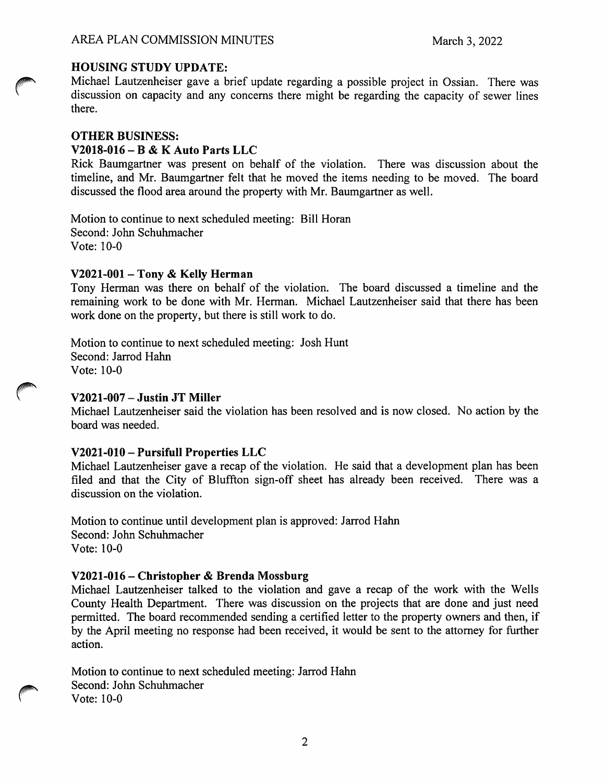# HOUSING STUDY UPDATE:

Michael Lautzenheiser gave a brief update regarding a possible project in Ossian. There was discussion on capacity and any concerns there might be regarding the capacity of sewer lines there.

### OTHER BUSINESS:

#### V2018-016 - B & K Auto Parts LLC

Rick Baumgartner was present on behalf of the violation. There was discussion about the timeline, and Mr. Baumgartner felt that he moved the items needing to be moved. The board discussed the flood area around the property with Mr. Baumgartner as well.

Motion to continue to next scheduled meeting: Bill Horan Second: John Schuhmacher Vote: 10-0

#### V2021-001 - Tony & Kelly Herman

Tony Herman was there on behalf of the violation. The board discussed a timeline and the remaining work to be done with Mr. Herman. Michael Lautzenheiser said that there has been work done on the property, but there is still work to do.

Motion to continue to next scheduled meeting: Josh Hunt Second: Jarrod Hahn Vote: 10-0

### V2021-007 - Justin JT Miller

Michael Lautzenheiser said the violation has been resolved and is now closed. No action by the board was needed.

### V2021-010 - Pursifull Properties LLC

Michael Lautzenheiser gave a recap of the violation. He said that a development plan has been filed and that the City of Bluffton sign-off sheet has already been received. There was a discussion on the violation.

Motion to continue until development plan is approved: Jarrod Hahn Second: John Schuhmacher Vote: 10-0

### V2021-016 - Christopher & Brenda Mossburg

Michael Lautzenheiser talked to the violation and gave a recap of the work with the Wells County Health Department. There was discussion on the projects that are done and just need permitted. The board recommended sending a certified letter to the property owners and then, if by the April meeting no response had been received, it would be sent to the attorney for further action.

Motion to continue to next scheduled meeting: Jarrod Hahn Second: John Schuhmacher Vote: 10-0